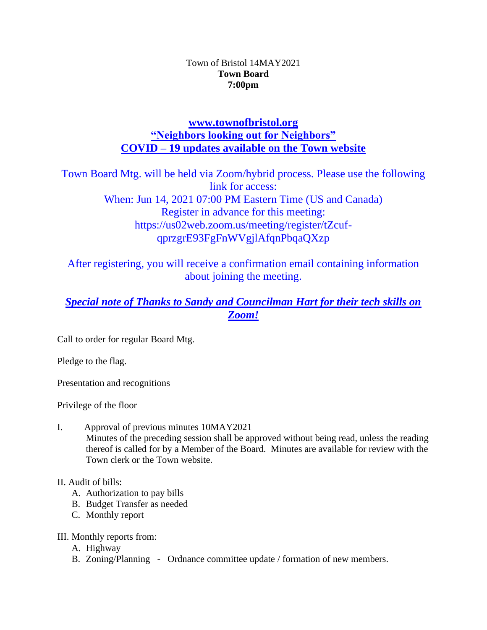#### Town of Bristol 14MAY2021 **Town Board 7:00pm**

## **[www.townofbristol.org](http://www.townofbristol.org/) "Neighbors looking out for Neighbors" COVID – 19 updates available on the Town website**

Town Board Mtg. will be held via Zoom/hybrid process. Please use the following link for access: When: Jun 14, 2021 07:00 PM Eastern Time (US and Canada) Register in advance for this meeting: https://us02web.zoom.us/meeting/register/tZcufqprzgrE93FgFnWVgjlAfqnPbqaQXzp

After registering, you will receive a confirmation email containing information about joining the meeting.

# *Special note of Thanks to Sandy and Councilman Hart for their tech skills on Zoom!*

Call to order for regular Board Mtg.

Pledge to the flag.

Presentation and recognitions

Privilege of the floor

I. Approval of previous minutes 10MAY2021 Minutes of the preceding session shall be approved without being read, unless the reading thereof is called for by a Member of the Board. Minutes are available for review with the Town clerk or the Town website.

### II. Audit of bills:

- A. Authorization to pay bills
- B. Budget Transfer as needed
- C. Monthly report

### III. Monthly reports from:

- A. Highway
- B. Zoning/Planning Ordnance committee update / formation of new members.